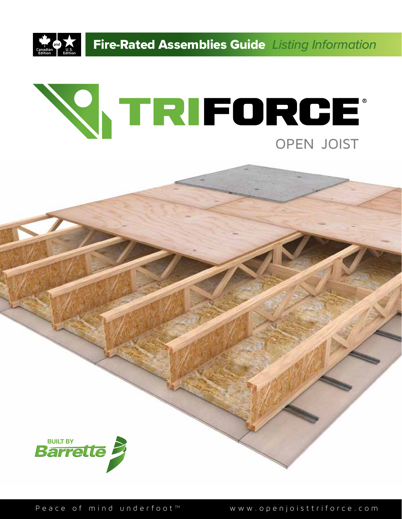

**Fire-Rated Assemblies Guide** Listing Information





Peace of mind underfoot™ www.openjoisttriforce.com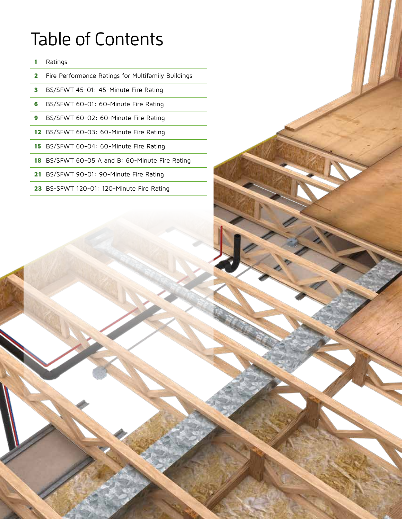# Table of Contents

- 1 Ratings
- 2 Fire Performance Ratings for Multifamily Buildings
- 3 BS/SFWT 45-01: 45-Minute Fire Rating
- 6 BS/SFWT 60-01: 60-Minute Fire Rating
- 9 BS/SFWT 60-02: 60-Minute Fire Rating
- 12 BS/SFWT 60-03: 60-Minute Fire Rating
- 15 BS/SFWT 60-04: 60-Minute Fire Rating
- 18 BS/SFWT 60-05 A and B: 60-Minute Fire Rating
- 21 BS/SFWT 90-01: 90-Minute Fire Rating
- 23 BS-SFWT 120-01: 120-Minute Fire Rating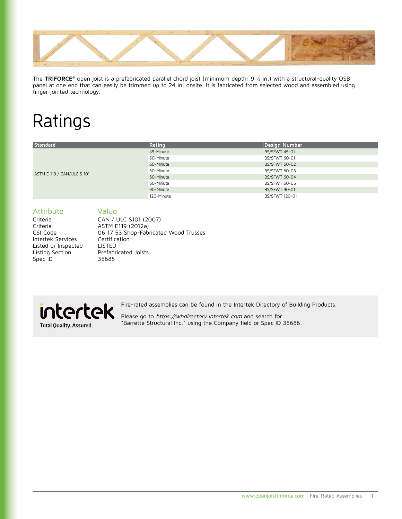

The **TRIFORCE®** open joist is a prefabricated parallel chord joist (minimum depth: 9 ½ in.) with a structural-quality OSB panel at one end that can easily be trimmed up to 24 in. onsite. It is fabricated from selected wood and assembled using finger-jointed technology.

# Ratings

| Standard                   | Rating     | Design Number        |
|----------------------------|------------|----------------------|
|                            | 45-Minute  | <b>BS/SFWT 45-01</b> |
|                            | 60-Minute  | BS/SFWT 60-01        |
|                            | 60-Minute  | <b>BS/SFWT 60-02</b> |
| ASTM E 119 / CAN/ULC S 101 | 60-Minute  | BS/SFWT 60-03        |
|                            | 60-Minute  | <b>BS/SFWT 60-04</b> |
|                            | 60-Minute  | BS/SFWT 60-05        |
|                            | 90-Minute  | <b>BS/SFWT 90-01</b> |
|                            | 120-Minute | BS/SFWT 120-01       |

## Attribute Value

Criteria CAN / ULC S101 (2007) Criteria ASTM E119 (2012a) CSI Code 06 17 53 Shop-Fabricated Wood Trusses<br>
Intertek Services Certification Intertek Services Listed or Inspected LISTED Listing Section Prefabricated Joists Spec ID 35685



Fire-rated assemblies can be found in the Intertek Directory of Building Products.

Please go to https://whdirectory.intertek.com and search for "Barrette Structural Inc." using the Company field or Spec ID 35686.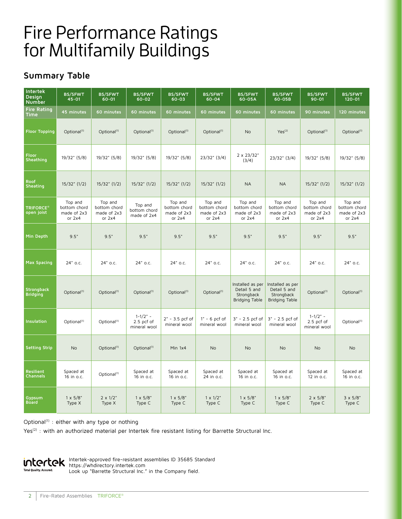## Fire Performance Ratings for Multifamily Buildings

## **Summary Table**

| <b>Intertek</b><br>Design<br><b>Number</b> | <b>BS/SFWT</b><br>$45 - 01$                        | <b>BS/SFWT</b><br>$60 - 01$                        | <b>BS/SFWT</b><br>$60 - 02$                  | <b>BS/SFWT</b><br>$60 - 03$                        | <b>BS/SFWT</b><br>$60 - 04$                        | <b>BS/SFWT</b><br>60-05A                                         | <b>BS/SFWT</b><br>60-05B                                         | <b>BS/SFWT</b><br>$90 - 01$                        | <b>BS/SFWT</b><br>$120 - 01$                       |
|--------------------------------------------|----------------------------------------------------|----------------------------------------------------|----------------------------------------------|----------------------------------------------------|----------------------------------------------------|------------------------------------------------------------------|------------------------------------------------------------------|----------------------------------------------------|----------------------------------------------------|
| <b>Fire Rating</b><br>Time                 | 45 minutes                                         | 60 minutes                                         | 60 minutes                                   | 60 minutes                                         | 60 minutes                                         | 60 minutes                                                       | 60 minutes                                                       | 90 minutes                                         | 120 minutes                                        |
| <b>Floor Topping</b>                       | Optional <sup>(1)</sup>                            | Optional <sup>(1)</sup>                            | Optional <sup>(1)</sup>                      | Optional <sup>(1)</sup>                            | Optional <sup>(1)</sup>                            | <b>No</b>                                                        | Yes <sup>(2)</sup>                                               | Optional <sup>(1)</sup>                            | Optional <sup>(1)</sup>                            |
| Floor<br>Sheathing                         | 19/32" (5/8)                                       | 19/32" (5/8)                                       | 19/32" (5/8)                                 | 19/32" (5/8)                                       | $23/32"$ (3/4)                                     | $2 \times 23/32"$<br>(3/4)                                       | $23/32"$ (3/4)                                                   | 19/32" (5/8)                                       | 19/32" (5/8)                                       |
| Roof<br>Sheating                           | $15/32$ " (1/2)                                    | $15/32$ " (1/2)                                    | $15/32$ " $(1/2)$                            | $15/32$ " (1/2)                                    | $15/32$ " (1/2)                                    | <b>NA</b>                                                        | <b>NA</b>                                                        | $15/32$ " (1/2)                                    | $15/32$ " (1/2)                                    |
| <b>TRIFORCE®</b><br>open joist             | Top and<br>bottom chord<br>made of 2x3<br>or $2x4$ | Top and<br>bottom chord<br>made of 2x3<br>or $2x4$ | Top and<br>bottom chord<br>made of 2x4       | Top and<br>bottom chord<br>made of 2x3<br>or $2x4$ | Top and<br>bottom chord<br>made of 2x3<br>or $2x4$ | Top and<br>bottom chord<br>made of 2x3<br>or $2x4$               | Top and<br>bottom chord<br>made of 2x3<br>or $2x4$               | Top and<br>bottom chord<br>made of 2x3<br>or $2x4$ | Top and<br>bottom chord<br>made of 2x3<br>or $2x4$ |
| Min Depth                                  | 9.5"                                               | 9.5"                                               | 9.5"                                         | 9.5"                                               | 9.5"                                               | 9.5"                                                             | 9.5"                                                             | 9.5"                                               | 9.5"                                               |
| <b>Max Spacing</b>                         | 24" o.c.                                           | 24" o.c.                                           | 24" o.c.                                     | 24" o.c.                                           | 24" o.c.                                           | 24" o.c.                                                         | 24" o.c.                                                         | 24" o.c.                                           | 24" o.c.                                           |
| <b>Strongback</b><br><b>Bridging</b>       | Optional <sup>(1)</sup>                            | Optional <sup>(1)</sup>                            | Optional <sup>(1)</sup>                      | Optional <sup>(1)</sup>                            | Optional <sup>(1)</sup>                            | Installed as per<br>Detail 5 and<br>Strongback<br>Bridging Table | Installed as per<br>Detail 5 and<br>Strongback<br>Bridging Table | Optional <sup>(1)</sup>                            | Optional <sup>(1)</sup>                            |
| Insulation                                 | Optional <sup>(1)</sup>                            | Optional <sup>(1)</sup>                            | $1 - 1/2" -$<br>$2.5$ pcf of<br>mineral wool | $2" - 3.5$ pcf of<br>mineral wool                  | $1" - 6$ pcf of<br>mineral wool                    | 3" - 2.5 pcf of<br>mineral wool                                  | 3" - 2.5 pcf of<br>mineral wool                                  | $1 - 1/2" -$<br>$2.5$ pcf of<br>mineral wool       | Optional <sup>(1)</sup>                            |
| <b>Setting Strip</b>                       | <b>No</b>                                          | Optional <sup>(1)</sup>                            | Optional <sup>(1)</sup>                      | Min 1x4                                            | No                                                 | No                                                               | No                                                               | No                                                 | <b>No</b>                                          |
| <b>Resilient</b><br><b>Channels</b>        | Spaced at<br>16 in o.c.                            | Optional <sup>(1)</sup>                            | Spaced at<br>16 in o.c.                      | Spaced at<br>16 in o.c.                            | Spaced at<br>24 in o.c.                            | Spaced at<br>16 in o.c.                                          | Spaced at<br>16 in o.c.                                          | Spaced at<br>12 in o.c.                            | Spaced at<br>16 in o.c.                            |
| Gypsum<br><b>Board</b>                     | $1 \times 5/8$ "<br>Type X                         | $2 \times 1/2$ "<br>Type X                         | $1 \times 5/8$ "<br>Type C                   | $1 \times 5/8$ "<br>Type C                         | $1 \times 1/2$ "<br>Type C                         | $1 \times 5/8$ "<br>Type C                                       | $1 \times 5/8$ "<br>Type C                                       | $2 \times 5/8$ "<br>Type C                         | $3 \times 5/8$ "<br>Type C                         |

Optional<sup>(1)</sup> : either with any type or nothing

Yes<sup>(2)</sup> : with an authorized material per Intertek fire resistant listing for Barrette Structural Inc.



Intertek-approved fire-resistant assemblies ID 35685 Standard https://whdirectory.intertek.com Look up "Barrette Structural Inc." in the Company field.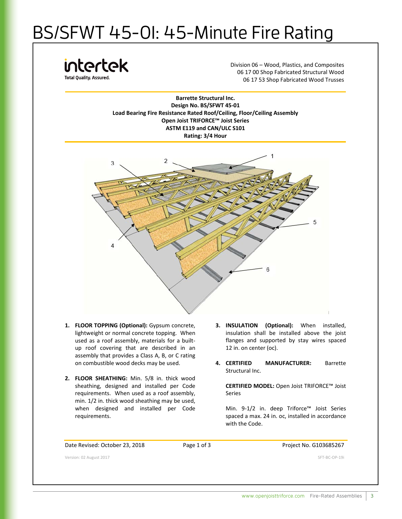# BS/SFWT 45-01: 45-Minute Fire Rating

intertek **Total Ouality, Assured** 

Division 06 – Wood, Plastics, and Composites 06 17 00 Shop Fabricated Structural Wood 06 17 53 Shop Fabricated Wood Trusses

**Barrette Structural Inc. Design No. BS/SFWT 45-01 Load Bearing Fire Resistance Rated Roof/Ceiling, Floor/Ceiling Assembly Open Joist TRIFORCE™ Joist Series ASTM E119 and CAN/ULC S101 Rating: 3/4 Hour**



- **1. FLOOR TOPPING (Optional):** Gypsum concrete, lightweight or normal concrete topping. When used as a roof assembly, materials for a builtup roof covering that are described in an assembly that provides a Class A, B, or C rating on combustible wood decks may be used.
- **2. FLOOR SHEATHING:** Min. 5/8 in. thick wood sheathing, designed and installed per Code requirements. When used as a roof assembly, min. 1/2 in. thick wood sheathing may be used, when designed and installed per Code requirements.
- **3. INSULATION (Optional):** When installed, insulation shall be installed above the joist flanges and supported by stay wires spaced 12 in. on center (oc).
- **4. CERTIFIED MANUFACTURER:** Barrette Structural Inc.

**CERTIFIED MODEL:** Open Joist TRIFORCE™ Joist Series

Min. 9-1/2 in. deep Triforce™ Joist Series spaced a max. 24 in. oc, installed in accordance with the Code.

Date Revised: October 23, 2018 Page 1 of 3 Project No. G103685267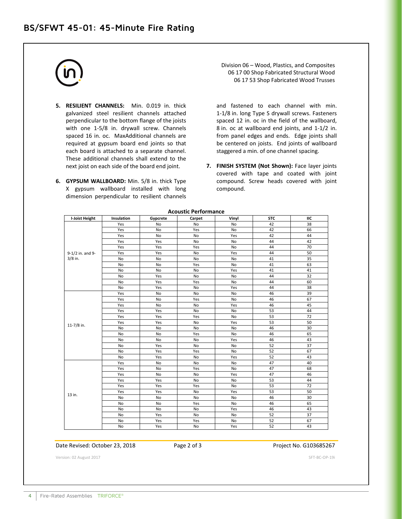- **5. RESILIENT CHANNELS:** Min. 0.019 in. thick galvanized steel resilient channels attached perpendicular to the bottom flange of the joists with one 1-5/8 in. drywall screw. Channels spaced 16 in. oc. MaxAdditional channels are required at gypsum board end joints so that each board is attached to a separate channel. These additional channels shall extend to the next joist on each side of the board end joint.
- **6. GYPSUM WALLBOARD:** Min. 5/8 in. thick Type X gypsum wallboard installed with long dimension perpendicular to resilient channels

Division 06 – Wood, Plastics, and Composites 06 17 00 Shop Fabricated Structural Wood 06 17 53 Shop Fabricated Wood Trusses

and fastened to each channel with min. 1-1/8 in. long Type S drywall screws. Fasteners spaced 12 in. oc in the field of the wallboard, 8 in. oc at wallboard end joints, and 1-1/2 in. from panel edges and ends. Edge joints shall be centered on joists. End joints of wallboard staggered a min. of one channel spacing.

**7. FINISH SYSTEM (Not Shown):** Face layer joints covered with tape and coated with joint compound. Screw heads covered with joint compound.

| <b>I-Joist Height</b> | Insulation | Gypcrete | Carpet    | Vinyl     | <b>STC</b> | IIC |
|-----------------------|------------|----------|-----------|-----------|------------|-----|
|                       | Yes        | No       | No        | No        | 42         | 38  |
|                       | Yes        | No       | Yes       | No        | 42         | 66  |
|                       | Yes        | No       | No        | Yes       | 42         | 44  |
|                       | Yes        | Yes      | No        | No        | 44         | 42  |
|                       | Yes        | Yes      | Yes       | No        | 44         | 70  |
| 9-1/2 in. and 9-      | Yes        | Yes      | No        | Yes       | 44         | 50  |
| $3/8$ in.             | No         | No       | No        | No        | 41         | 35  |
|                       | No         | No       | Yes       | No        | 41         | 63  |
|                       | No         | No       | No        | Yes       | 41         | 41  |
|                       | No         | Yes      | No        | No        | 44         | 32  |
|                       | No         | Yes      | Yes       | No        | 44         | 60  |
|                       | No         | Yes      | No        | Yes       | 44         | 38  |
|                       | Yes        | No       | No        | No        | 46         | 39  |
|                       | Yes        | No       | Yes       | No        | 46         | 67  |
|                       | Yes        | No       | No        | Yes       | 46         | 45  |
|                       | Yes        | Yes      | <b>No</b> | No        | 53         | 44  |
|                       | Yes        | Yes      | Yes       | No        | 53         | 72  |
|                       | Yes        | Yes      | No        | Yes       | 53         | 50  |
| 11-7/8 in.            | No         | No       | No        | No        | 46         | 30  |
|                       | No         | No       | Yes       | No        | 46         | 65  |
|                       | No         | No       | No        | Yes       | 46         | 43  |
|                       | No         | Yes      | No        | No        | 52         | 37  |
|                       | No         | Yes      | Yes       | No        | 52         | 67  |
|                       | No         | Yes      | <b>No</b> | Yes       | 52         | 43  |
|                       | Yes        | No       | No        | No        | 47         | 40  |
|                       | Yes        | No       | Yes       | No        | 47         | 68  |
|                       | Yes        | No       | No        | Yes       | 47         | 46  |
|                       | Yes        | Yes      | <b>No</b> | No        | 53         | 44  |
|                       | Yes        | Yes      | Yes       | <b>No</b> | 53         | 72  |
| 13 in.                | Yes        | Yes      | No        | Yes       | 53         | 50  |
|                       | No         | No       | No        | No        | 46         | 30  |
|                       | No         | No       | Yes       | No        | 46         | 65  |
|                       | No         | No       | No        | Yes       | 46         | 43  |
|                       | No         | Yes      | <b>No</b> | No        | 52         | 37  |
|                       | No         | Yes      | Yes       | No        | 52         | 67  |
|                       | No         | Yes      | No        | Yes       | 52         | 43  |

**Acoustic Performance** 

## Date Revised: October 23, 2018 Page 2 of 3 Project No. G103685267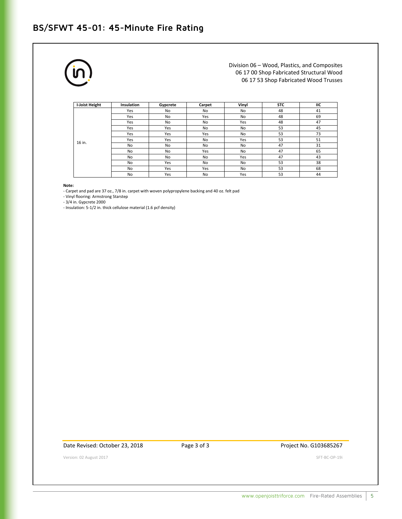## **BS/SFWT 45-01: 45-Minute Fire Rating**



Division 06 – Wood, Plastics, and Composites 06 17 00 Shop Fabricated Structural Wood 06 17 53 Shop Fabricated Wood Trusses

| I-Joist Height | Insulation | Gypcrete | Carpet         | Vinvl     | <b>STC</b> | ПC |
|----------------|------------|----------|----------------|-----------|------------|----|
|                | Yes        | No       | No             | No        | 48         | 41 |
|                | Yes        | No       | Yes            | No        | 48         | 69 |
|                | Yes        | No       | No             | Yes       | 48         | 47 |
|                | Yes        | Yes      | No             | No        | 53         | 45 |
|                | Yes        | Yes      | Yes            | No        | 53         | 73 |
| 16 in.         | Yes        | Yes      | No             | Yes       | 53         | 51 |
|                | No         | No       | No             | No        | 47         | 31 |
|                | No         | No       | Yes            | No        | 47         | 65 |
|                | No         | No       | No             | Yes       | 47         | 43 |
|                | No         | Yes      | No             | No        | 53         | 38 |
|                | No         | Yes      | Yes            | <b>No</b> | 53         | 68 |
|                | No         | Yes      | N <sub>o</sub> | Yes       | 53         | 44 |

**Note:**

- Carpet and pad are 37 oz., 7/8 in. carpet with woven polypropylene backing and 40 oz. felt pad

- Vinyl flooring: Armstrong Starstep

- 3/4 in. Gypcrete 2000

- Insulation: 5-1/2 in. thick cellulose material (1.6 pcf density)

Date Revised: October 23, 2018 Page 3 of 3 Project No. G103685267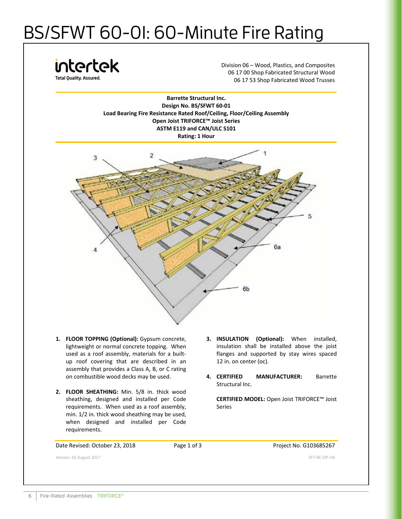# BS/SFWT 60-01: 60-Minute Fire Rating

intertek **Total Quality, Assured** 

Division 06 – Wood, Plastics, and Composites 06 17 00 Shop Fabricated Structural Wood 06 17 53 Shop Fabricated Wood Trusses

**Barrette Structural Inc. Design No. BS/SFWT 60-01 Load Bearing Fire Resistance Rated Roof/Ceiling, Floor/Ceiling Assembly Open Joist TRIFORCE™ Joist Series ASTM E119 and CAN/ULC S101 Rating: 1 Hour**



- **1. FLOOR TOPPING (Optional):** Gypsum concrete, lightweight or normal concrete topping. When used as a roof assembly, materials for a builtup roof covering that are described in an assembly that provides a Class A, B, or C rating on combustible wood decks may be used.
- **2. FLOOR SHEATHING:** Min. 5/8 in. thick wood sheathing, designed and installed per Code requirements. When used as a roof assembly, min. 1/2 in. thick wood sheathing may be used, when designed and installed per Code requirements.
- **3. INSULATION (Optional):** When installed, insulation shall be installed above the joist flanges and supported by stay wires spaced 12 in. on center (oc).
- **4. CERTIFIED MANUFACTURER:** Barrette Structural Inc.

**CERTIFIED MODEL:** Open Joist TRIFORCE™ Joist Series

Date Revised: October 23, 2018 Page 1 of 3 Project No. G103685267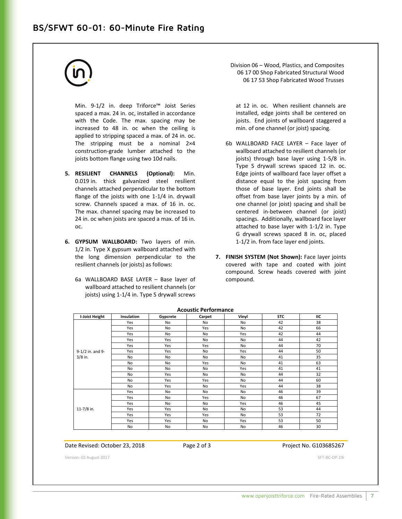## **BS/SFWT 60-01: 60-Minute Fire Rating**

Min. 9-1/2 in. deep Triforce™ Joist Series spaced a max. 24 in. oc, installed in accordance with the Code. The max. spacing may be increased to 48 in. oc when the ceiling is applied to stripping spaced a max. of 24 in. oc. The stripping must be a nominal 2×4 construction-grade lumber attached to the joists bottom flange using two 10d nails.

- **5. RESILIENT CHANNELS (Optional):** Min. 0.019 in. thick galvanized steel resilient channels attached perpendicular to the bottom flange of the joists with one 1-1/4 in. drywall screw. Channels spaced a max. of 16 in. oc. The max. channel spacing may be increased to 24 in. oc when joists are spaced a max. of 16 in. oc.
- **6. GYPSUM WALLBOARD:** Two layers of min. 1/2 in. Type X gypsum wallboard attached with the long dimension perpendicular to the resilient channels (or joists) as follows:
	- 6a WALLBOARD BASE LAYER Base layer of wallboard attached to resilient channels (or joists) using 1-1/4 in. Type S drywall screws

Division 06 – Wood, Plastics, and Composites 06 17 00 Shop Fabricated Structural Wood 06 17 53 Shop Fabricated Wood Trusses

at 12 in. oc. When resilient channels are installed, edge joints shall be centered on joists. End joints of wallboard staggered a min. of one channel (or joist) spacing.

- 6b WALLBOARD FACE LAYER Face layer of wallboard attached to resilient channels (or joists) through base layer using 1-5/8 in. Type S drywall screws spaced 12 in. oc. Edge joints of wallboard face layer offset a distance equal to the joist spacing from those of base layer. End joints shall be offset from base layer joints by a min. of one channel (or joist) spacing and shall be centered in-between channel (or joist) spacings. Additionally, wallboard face layer attached to base layer with 1-1/2 in. Type G drywall screws spaced 8 in. oc, placed 1-1/2 in. from face layer end joints.
- **7. FINISH SYSTEM (Not Shown):** Face layer joints covered with tape and coated with joint compound. Screw heads covered with joint compound.

| <b>I-Joist Height</b> | Insulation | Gypcrete  | Carpet    | Vinyl     | <b>STC</b> | ΠС |
|-----------------------|------------|-----------|-----------|-----------|------------|----|
|                       | Yes        | No        | No        | No        | 42         | 38 |
|                       | Yes        | No        | Yes       | No        | 42         | 66 |
|                       | Yes        | <b>No</b> | <b>No</b> | Yes       | 42         | 44 |
|                       | Yes        | Yes       | No        | <b>No</b> | 44         | 42 |
|                       | Yes        | Yes       | Yes       | No        | 44         | 70 |
| 9-1/2 in. and 9-      | Yes        | Yes       | No        | Yes       | 44         | 50 |
| $3/8$ in.             | No         | No        | No        | No        | 41         | 35 |
|                       | No         | No        | Yes       | No        | 41         | 63 |
|                       | <b>No</b>  | <b>No</b> | <b>No</b> | Yes       | 41         | 41 |
|                       | No         | Yes       | No        | <b>No</b> | 44         | 32 |
|                       | No         | Yes       | Yes       | No        | 44         | 60 |
|                       | No         | Yes       | No        | Yes       | 44         | 38 |
|                       | Yes        | No        | No        | <b>No</b> | 46         | 39 |
|                       | Yes        | No        | Yes       | No        | 46         | 67 |
|                       | Yes        | No        | No        | Yes       | 46         | 45 |
| $11 - 7/8$ in.        | Yes        | Yes       | No        | No        | 53         | 44 |
|                       | Yes        | Yes       | Yes       | No        | 53         | 72 |
|                       | Yes        | Yes       | No        | Yes       | 53         | 50 |
|                       | No         | No        | No        | No        | 46         | 30 |

**Acoustic Performance** 

Date Revised: October 23, 2018 Page 2 of 3 Project No. G103685267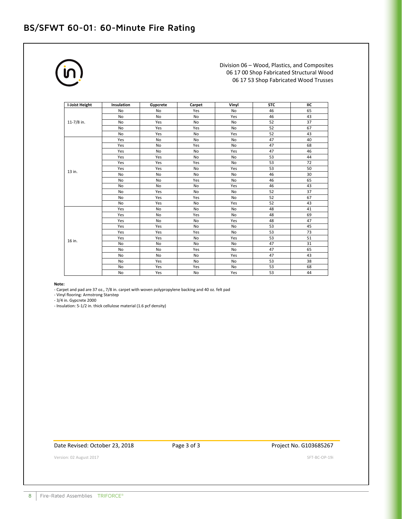## **BS/SFWT 60-01: 60-Minute Fire Rating**

Division 06 – Wood, Plastics, and Composites 06 17 00 Shop Fabricated Structural Wood 06 17 53 Shop Fabricated Wood Trusses

| I-Joist Height | Insulation | Gypcrete  | Carpet                                                                                                                                                                                                                                                                                                                                                                                                                                                                   | Vinyl | <b>STC</b> | IIC |
|----------------|------------|-----------|--------------------------------------------------------------------------------------------------------------------------------------------------------------------------------------------------------------------------------------------------------------------------------------------------------------------------------------------------------------------------------------------------------------------------------------------------------------------------|-------|------------|-----|
|                | No         | No        | Yes                                                                                                                                                                                                                                                                                                                                                                                                                                                                      | No    | 46         | 65  |
|                | No         | No        | No                                                                                                                                                                                                                                                                                                                                                                                                                                                                       | Yes   | 46         | 43  |
| 11-7/8 in.     | No         | Yes       | No                                                                                                                                                                                                                                                                                                                                                                                                                                                                       | No    | 52         | 37  |
|                | No         | Yes       | Yes                                                                                                                                                                                                                                                                                                                                                                                                                                                                      | No    | 52         | 67  |
|                | No         | Yes       | 52<br>No<br>Yes<br>47<br>No<br>No<br>47<br>Yes<br><b>No</b><br>47<br>No<br>Yes<br>53<br>No<br>No<br>53<br>Yes<br>No<br>53<br>Yes<br>No<br>46<br>No<br>No<br>46<br>Yes<br>No<br>46<br><b>No</b><br>Yes<br>52<br>No<br>No<br>52<br>Yes<br><b>No</b><br>52<br>Yes<br>No<br>48<br>No<br>No<br>48<br><b>No</b><br>Yes<br>48<br><b>No</b><br>Yes<br>53<br>No<br>No<br>53<br>Yes<br><b>No</b><br>53<br>No<br>Yes<br>47<br>No<br>No<br>47<br>Yes<br><b>No</b><br>47<br>No<br>Yes | 43    |            |     |
|                | Yes        | No        |                                                                                                                                                                                                                                                                                                                                                                                                                                                                          |       |            | 40  |
|                | Yes        | No        |                                                                                                                                                                                                                                                                                                                                                                                                                                                                          |       |            | 68  |
|                | Yes        | No        |                                                                                                                                                                                                                                                                                                                                                                                                                                                                          |       |            | 46  |
|                | Yes        | Yes       |                                                                                                                                                                                                                                                                                                                                                                                                                                                                          |       |            | 44  |
|                | Yes        | Yes       |                                                                                                                                                                                                                                                                                                                                                                                                                                                                          |       |            | 72  |
|                | Yes        | Yes       |                                                                                                                                                                                                                                                                                                                                                                                                                                                                          |       |            | 50  |
| 13 in.         | No         | No        |                                                                                                                                                                                                                                                                                                                                                                                                                                                                          |       |            | 30  |
|                | No         | No        |                                                                                                                                                                                                                                                                                                                                                                                                                                                                          |       |            | 65  |
|                | No         | <b>No</b> |                                                                                                                                                                                                                                                                                                                                                                                                                                                                          |       |            | 43  |
|                | No         | Yes       |                                                                                                                                                                                                                                                                                                                                                                                                                                                                          |       |            | 37  |
|                | No         | Yes       |                                                                                                                                                                                                                                                                                                                                                                                                                                                                          |       |            | 67  |
|                | <b>No</b>  | Yes       |                                                                                                                                                                                                                                                                                                                                                                                                                                                                          |       |            | 43  |
|                | Yes        | No        |                                                                                                                                                                                                                                                                                                                                                                                                                                                                          |       |            | 41  |
|                | Yes        | <b>No</b> |                                                                                                                                                                                                                                                                                                                                                                                                                                                                          |       |            | 69  |
|                | Yes        | <b>No</b> |                                                                                                                                                                                                                                                                                                                                                                                                                                                                          |       |            | 47  |
|                | Yes        | Yes       |                                                                                                                                                                                                                                                                                                                                                                                                                                                                          |       |            | 45  |
|                | Yes        | Yes       |                                                                                                                                                                                                                                                                                                                                                                                                                                                                          |       |            | 73  |
| 16 in.         | Yes        | Yes       |                                                                                                                                                                                                                                                                                                                                                                                                                                                                          |       |            | 51  |
|                | No         | No        |                                                                                                                                                                                                                                                                                                                                                                                                                                                                          |       |            | 31  |
|                | No         | <b>No</b> |                                                                                                                                                                                                                                                                                                                                                                                                                                                                          |       |            | 65  |
|                | No         | No        |                                                                                                                                                                                                                                                                                                                                                                                                                                                                          |       |            | 43  |
|                | No         | Yes       | No                                                                                                                                                                                                                                                                                                                                                                                                                                                                       | No    | 53         | 38  |
|                | No         | Yes       | Yes                                                                                                                                                                                                                                                                                                                                                                                                                                                                      | No    | 53         | 68  |
|                | No         | Yes       | No                                                                                                                                                                                                                                                                                                                                                                                                                                                                       | Yes   | 53         | 44  |

**Note:**

- Carpet and pad are 37 oz., 7/8 in. carpet with woven polypropylene backing and 40 oz. felt pad

- Vinyl flooring: Armstrong Starstep

- 3/4 in. Gypcrete 2000

- Insulation: 5-1/2 in. thick cellulose material (1.6 pcf density)

## Date Revised: October 23, 2018 Page 3 of 3 Project No. G103685267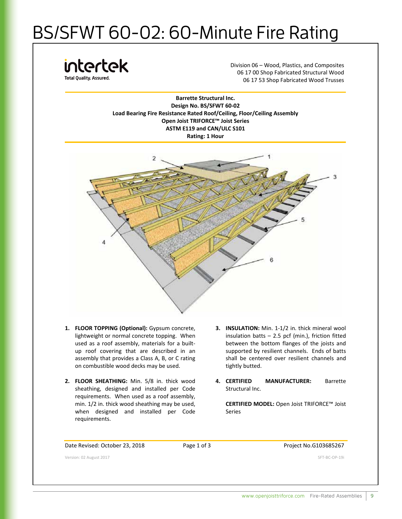# BS/SFWT 60-02: 60-Minute Fire Rating

intertek **Total Quality, Assured** 

Division 06 – Wood, Plastics, and Composites 06 17 00 Shop Fabricated Structural Wood 06 17 53 Shop Fabricated Wood Trusses

**Barrette Structural Inc. Design No. BS/SFWT 60-02 Load Bearing Fire Resistance Rated Roof/Ceiling, Floor/Ceiling Assembly Open Joist TRIFORCE™ Joist Series ASTM E119 and CAN/ULC S101 Rating: 1 Hour**



- **1. FLOOR TOPPING (Optional):** Gypsum concrete, lightweight or normal concrete topping. When used as a roof assembly, materials for a builtup roof covering that are described in an assembly that provides a Class A, B, or C rating on combustible wood decks may be used.
- **2. FLOOR SHEATHING:** Min. 5/8 in. thick wood sheathing, designed and installed per Code requirements. When used as a roof assembly, min. 1/2 in. thick wood sheathing may be used, when designed and installed per Code requirements.
- **3. INSULATION:** Min. 1-1/2 in. thick mineral wool insulation batts  $-$  2.5 pcf (min.), friction fitted between the bottom flanges of the joists and supported by resilient channels. Ends of batts shall be centered over resilient channels and tightly butted.
- **4. CERTIFIED MANUFACTURER:** Barrette Structural Inc.

**CERTIFIED MODEL:** Open Joist TRIFORCE™ Joist Series

Date Revised: October 23, 2018 Page 1 of 3 Project No.G103685267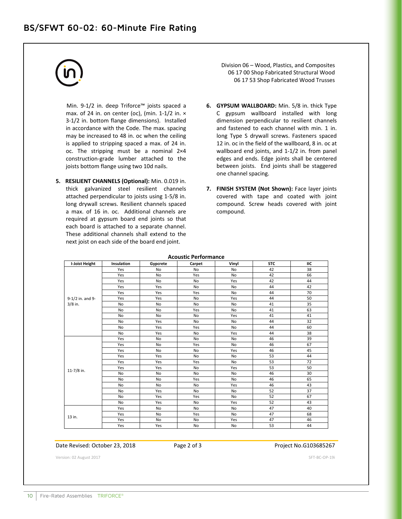Min. 9-1/2 in. deep Triforce™ joists spaced a max. of 24 in. on center (oc), (min. 1-1/2 in.  $\times$ 3-1/2 in. bottom flange dimensions). Installed in accordance with the Code. The max. spacing may be increased to 48 in. oc when the ceiling is applied to stripping spaced a max. of 24 in. oc. The stripping must be a nominal 2×4 construction-grade lumber attached to the joists bottom flange using two 10d nails.

**5. RESILIENT CHANNELS (Optional):** Min. 0.019 in. thick galvanized steel resilient channels attached perpendicular to joists using 1-5/8 in. long drywall screws. Resilient channels spaced a max. of 16 in. oc. Additional channels are required at gypsum board end joints so that each board is attached to a separate channel. These additional channels shall extend to the next joist on each side of the board end joint.

Division 06 – Wood, Plastics, and Composites 06 17 00 Shop Fabricated Structural Wood 06 17 53 Shop Fabricated Wood Trusses

- **6. GYPSUM WALLBOARD:** Min. 5/8 in. thick Type C gypsum wallboard installed with long dimension perpendicular to resilient channels and fastened to each channel with min. 1 in. long Type S drywall screws. Fasteners spaced 12 in. oc in the field of the wallboard, 8 in. oc at wallboard end joints, and 1-1/2 in. from panel edges and ends. Edge joints shall be centered between joists. End joints shall be staggered one channel spacing.
- **7. FINISH SYSTEM (Not Shown):** Face layer joints covered with tape and coated with joint compound. Screw heads covered with joint compound.

| <b>I-Joist Height</b> | Insulation | Gypcrete  | <b>ALUBRIL FEITUITIEIILE</b><br>Carpet | Vinyl     | <b>STC</b> | IIC             |
|-----------------------|------------|-----------|----------------------------------------|-----------|------------|-----------------|
|                       | Yes        | No        | No                                     | <b>No</b> | 42         | 38              |
|                       | Yes        | No        | Yes                                    | <b>No</b> | 42         | 66              |
|                       | Yes        | <b>No</b> | <b>No</b>                              | Yes       | 42         | 44              |
|                       | Yes        | Yes       | <b>No</b>                              | <b>No</b> | 44         | 42              |
|                       | Yes        | Yes       | Yes                                    | <b>No</b> | 44         | 70              |
| 9-1/2 in. and 9-      | Yes        | Yes       | <b>No</b>                              | Yes       | 44         | 50              |
| $3/8$ in.             | <b>No</b>  | <b>No</b> | <b>No</b>                              | <b>No</b> | 41         | 35              |
|                       | No         | <b>No</b> | Yes                                    | <b>No</b> | 41         | 63              |
|                       | No         | <b>No</b> | <b>No</b>                              | Yes       | 41         | 41              |
|                       | No         | Yes       | <b>No</b>                              | <b>No</b> | 44         | $\overline{32}$ |
|                       | No         | Yes       | Yes                                    | <b>No</b> | 44         | 60              |
|                       | <b>No</b>  | Yes       | <b>No</b>                              | Yes       | 44         | 38              |
|                       | Yes        | No        | No                                     | No        | 46         | 39              |
|                       | Yes        | No        | Yes                                    | No        | 46         | 67              |
|                       | Yes        | <b>No</b> | <b>No</b>                              | Yes       | 46         | 45              |
|                       | Yes        | Yes       | No                                     | <b>No</b> | 53         | 44              |
|                       | Yes        | Yes       | Yes                                    | <b>No</b> | 53         | 72              |
|                       | Yes        | Yes       | No                                     | Yes       | 53         | 50              |
| 11-7/8 in.            | No         | <b>No</b> | <b>No</b>                              | <b>No</b> | 46         | 30              |
|                       | <b>No</b>  | No        | Yes                                    | <b>No</b> | 46         | 65              |
|                       | <b>No</b>  | No        | <b>No</b>                              | Yes       | 46         | 43              |
|                       | <b>No</b>  | Yes       | No                                     | No        | 52         | 37              |
|                       | No         | Yes       | Yes                                    | No        | 52         | 67              |
|                       | No         | Yes       | <b>No</b>                              | Yes       | 52         | 43              |
|                       | Yes        | <b>No</b> | <b>No</b>                              | <b>No</b> | 47         | 40              |
| 13 in.                | Yes        | <b>No</b> | Yes                                    | <b>No</b> | 47         | 68              |
|                       | Yes        | No        | <b>No</b>                              | Yes       | 47         | 46              |
|                       | Yes        | Yes       | No                                     | No        | 53         | 44              |

**Acoustic Performance** 

## Date Revised: October 23, 2018 Page 2 of 3 Project No.G103685267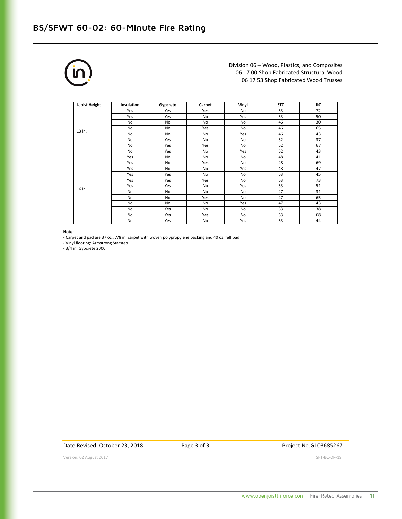## **BS/SFWT 60-02: 60-Minute Fire Rating**



Division 06 – Wood, Plastics, and Composites 06 17 00 Shop Fabricated Structural Wood 06 17 53 Shop Fabricated Wood Trusses

| I-Joist Height | <b>Insulation</b> | Gypcrete | Carpet    | Vinyl | <b>STC</b> | ПC |
|----------------|-------------------|----------|-----------|-------|------------|----|
|                | Yes               | Yes      | Yes       | No    | 53         | 72 |
|                | Yes               | Yes      | No        | Yes   | 53         | 50 |
|                | No                | No       | No        | No    | 46         | 30 |
| 13 in.         | No                | No       | Yes       | No    | 46         | 65 |
|                | No                | No       | No        | Yes   | 46         | 43 |
|                | No                | Yes      | No        | No    | 52         | 37 |
|                | No                | Yes      | Yes       | No    | 52         | 67 |
|                | No                | Yes      | No        | Yes   | 52         | 43 |
|                | Yes               | No       | No        | No    | 48         | 41 |
|                | Yes               | No       | Yes       | No    | 48         | 69 |
|                | Yes               | No       | No        | Yes   | 48         | 47 |
|                | Yes               | Yes      | No        | No    | 53         | 45 |
|                | Yes               | Yes      | Yes       | No    | 53         | 73 |
| 16 in.         | Yes               | Yes      | No        | Yes   | 53         | 51 |
|                | No                | No       | No        | No    | 47         | 31 |
|                | No                | No       | Yes       | No    | 47         | 65 |
|                | <b>No</b>         | No       | <b>No</b> | Yes   | 47         | 43 |
|                | No                | Yes      | No        | No    | 53         | 38 |
|                | No                | Yes      | Yes       | No    | 53         | 68 |
|                | No                | Yes      | No        | Yes   | 53         | 44 |

## **Note:**

- Carpet and pad are 37 oz., 7/8 in. carpet with woven polypropylene backing and 40 oz. felt pad

- Vinyl flooring: Armstrong Starstep

- 3/4 in. Gypcrete 2000

Date Revised: October 23, 2018 Page 3 of 3 Project No.G103685267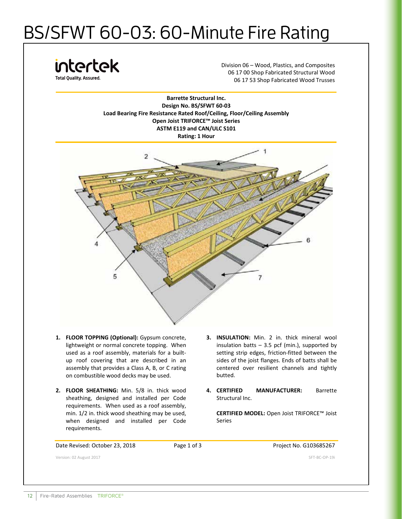# BS/SFWT 60-03: 60-Minute Fire Rating

intertek

Division 06 – Wood, Plastics, and Composites 06 17 00 Shop Fabricated Structural Wood 06 17 53 Shop Fabricated Wood Trusses

**Barrette Structural Inc. Design No. BS/SFWT 60-03 Load Bearing Fire Resistance Rated Roof/Ceiling, Floor/Ceiling Assembly Open Joist TRIFORCE™ Joist Series ASTM E119 and CAN/ULC S101 Rating: 1 Hour**



- **1. FLOOR TOPPING (Optional):** Gypsum concrete, lightweight or normal concrete topping. When used as a roof assembly, materials for a builtup roof covering that are described in an assembly that provides a Class A, B, or C rating on combustible wood decks may be used.
- **2. FLOOR SHEATHING:** Min. 5/8 in. thick wood sheathing, designed and installed per Code requirements. When used as a roof assembly, min. 1/2 in. thick wood sheathing may be used, when designed and installed per Code requirements.
- **3. INSULATION:** Min. 2 in. thick mineral wool insulation batts  $-3.5$  pcf (min.), supported by setting strip edges, friction-fitted between the sides of the joist flanges. Ends of batts shall be centered over resilient channels and tightly butted.
- **4. CERTIFIED MANUFACTURER:** Barrette Structural Inc.

**CERTIFIED MODEL:** Open Joist TRIFORCE™ Joist Series

Date Revised: October 23, 2018 Page 1 of 3 Project No. G103685267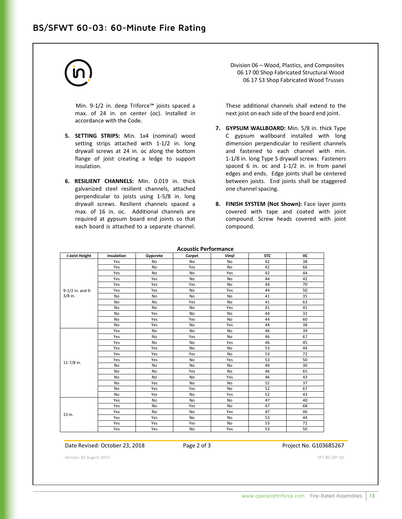Min. 9-1/2 in. deep Triforce™ joists spaced a max. of 24 in. on center (oc). Installed in accordance with the Code.

- **5. SETTING STRIPS:** Min. 1x4 (nominal) wood setting strips attached with 1-1/2 in. long drywall screws at 24 in. oc along the bottom flange of joist creating a ledge to support insulation.
- **6. RESILIENT CHANNELS:** Min. 0.019 in. thick galvanized steel resilient channels, attached perpendicular to joists using 1-5/8 in. long drywall screws. Resilient channels spaced a max. of 16 in. oc. Additional channels are required at gypsum board end joints so that each board is attached to a separate channel.

Division 06 – Wood, Plastics, and Composites 06 17 00 Shop Fabricated Structural Wood 06 17 53 Shop Fabricated Wood Trusses

These additional channels shall extend to the next joist on each side of the board end joint.

- **7. GYPSUM WALLBOARD:** Min. 5/8 in. thick Type C gypsum wallboard installed with long dimension perpendicular to resilient channels and fastened to each channel with min. 1-1/8 in. long Type S drywall screws. Fasteners spaced 6 in. oc and 1-1/2 in. in from panel edges and ends. Edge joints shall be centered between joists. End joints shall be staggered one channel spacing.
- **8. FINISH SYSTEM (Not Shown):** Face layer joints covered with tape and coated with joint compound. Screw heads covered with joint compound.

| I-Joist Height   | Insulation | Gypcrete  | Carpet    | Vinyl          | <b>STC</b> | IIC |
|------------------|------------|-----------|-----------|----------------|------------|-----|
|                  | Yes        | No        | No        | No             | 42         | 38  |
|                  | Yes        | No        | Yes       | No             | 42         | 66  |
|                  | Yes        | No        | No        | Yes            | 42         | 44  |
|                  | Yes        | Yes       | No        | No             | 44         | 42  |
|                  | Yes        | Yes       | Yes       | <b>No</b>      | 44         | 70  |
| 9-1/2 in. and 9- | Yes        | Yes       | No        | Yes            | 44         | 50  |
| $3/8$ in.        | <b>No</b>  | No        | No        | N <sub>o</sub> | 41         | 35  |
|                  | <b>No</b>  | <b>No</b> | Yes       | No             | 41         | 63  |
|                  | <b>No</b>  | <b>No</b> | No        | Yes            | 41         | 41  |
|                  | <b>No</b>  | Yes       | <b>No</b> | N <sub>o</sub> | 44         | 32  |
|                  | <b>No</b>  | Yes       | Yes       | No             | 44         | 60  |
|                  | <b>No</b>  | Yes       | <b>No</b> | Yes            | 44         | 38  |
|                  | Yes        | No        | No        | No             | 46         | 39  |
|                  | Yes        | No        | Yes       | No             | 46         | 67  |
|                  | Yes        | No        | No        | Yes            | 46         | 45  |
|                  | Yes        | Yes       | <b>No</b> | <b>No</b>      | 53         | 44  |
|                  | Yes        | Yes       | Yes       | No             | 53         | 72  |
| 11-7/8 in.       | Yes        | Yes       | <b>No</b> | Yes            | 53         | 50  |
|                  | No         | No        | No        | No             | 46         | 30  |
|                  | No         | No        | Yes       | No             | 46         | 65  |
|                  | <b>No</b>  | No        | No        | Yes            | 46         | 43  |
|                  | <b>No</b>  | Yes       | No        | No             | 52         | 37  |
|                  | <b>No</b>  | Yes       | Yes       | <b>No</b>      | 52         | 67  |
|                  | <b>No</b>  | Yes       | No        | Yes            | 52         | 43  |
|                  | Yes        | No        | No        | No             | 47         | 40  |
|                  | Yes        | No        | Yes       | No             | 47         | 68  |
| 13 in.           | Yes        | <b>No</b> | No        | Yes            | 47         | 46  |
|                  | Yes        | Yes       | <b>No</b> | <b>No</b>      | 53         | 44  |
|                  | Yes        | Yes       | Yes       | No             | 53         | 72  |
|                  | Yes        | Yes       | No        | Yes            | 53         | 50  |

**Acoustic Performance** 

## Date Revised: October 23, 2018 Page 2 of 3 Project No. G103685267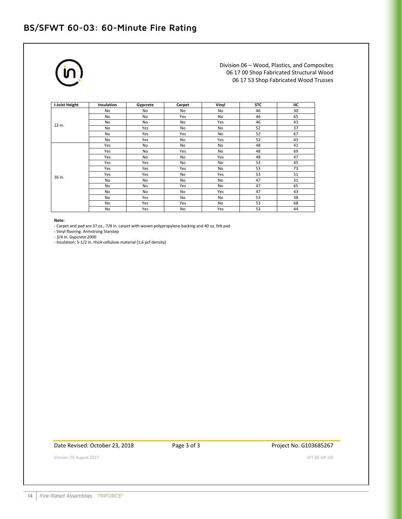## **BS/SFWT 60-03: 60-Minute Fire Rating**



Division 06 – Wood, Plastics, and Composites 06 17 00 Shop Fabricated Structural Wood 06 17 53 Shop Fabricated Wood Trusses

| I-Joist Height | <b>Insulation</b> | Gypcrete | Carpet | Vinyl | <b>STC</b> | ПC |
|----------------|-------------------|----------|--------|-------|------------|----|
|                | No                | No       | No     | No    | 46         | 30 |
|                | No                | No       | Yes    | No    | 46         | 65 |
| 13 in.         | No                | No       | No     | Yes   | 46         | 43 |
|                | No                | Yes      | No     | No    | 52         | 37 |
|                | No                | Yes      | Yes    | No    | 52         | 67 |
|                | No                | Yes      | No     | Yes   | 52         | 43 |
|                | Yes               | No       | No     | No    | 48         | 41 |
|                | Yes               | No       | Yes    | No    | 48         | 69 |
|                | Yes               | No       | No     | Yes   | 48         | 47 |
|                | Yes               | Yes      | No     | No    | 53         | 45 |
|                | Yes               | Yes      | Yes    | No    | 53         | 73 |
| 16 in.         | Yes               | Yes      | No     | Yes   | 53         | 51 |
|                | No                | No       | No     | No    | 47         | 31 |
|                | No                | No       | Yes    | No    | 47         | 65 |
|                | No                | No       | No     | Yes   | 47         | 43 |
|                | No                | Yes      | No     | No    | 53         | 38 |
|                | No                | Yes      | Yes    | No    | 53         | 68 |
|                | No                | Yes      | No     | Yes   | 53         | 44 |

## **Note:**

- Carpet and pad are 37 oz., 7/8 in. carpet with woven polypropylene backing and 40 oz. felt pad

- Vinyl flooring: Armstrong Starstep

- 3/4 in. Gypcrete 2000

- Insulation: 5-1/2 in. thick cellulose material (1.6 pcf density)

Date Revised: October 23, 2018 Page 3 of 3 Project No. G103685267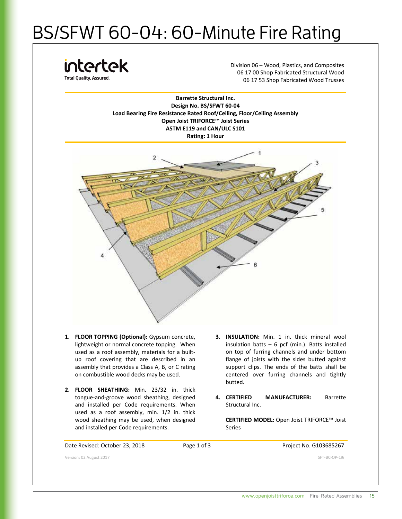# BS/SFWT 60-04: 60-Minute Fire Rating

intertek **Total Quality, Assured** 

Division 06 – Wood, Plastics, and Composites 06 17 00 Shop Fabricated Structural Wood 06 17 53 Shop Fabricated Wood Trusses

**Barrette Structural Inc. Design No. BS/SFWT 60-04 Load Bearing Fire Resistance Rated Roof/Ceiling, Floor/Ceiling Assembly Open Joist TRIFORCE™ Joist Series ASTM E119 and CAN/ULC S101 Rating: 1 Hour**



- **1. FLOOR TOPPING (Optional):** Gypsum concrete, lightweight or normal concrete topping. When used as a roof assembly, materials for a builtup roof covering that are described in an assembly that provides a Class A, B, or C rating on combustible wood decks may be used.
- **2. FLOOR SHEATHING:** Min. 23/32 in. thick tongue-and-groove wood sheathing, designed and installed per Code requirements. When used as a roof assembly, min. 1/2 in. thick wood sheathing may be used, when designed and installed per Code requirements.
- **3. INSULATION:** Min. 1 in. thick mineral wool insulation batts  $-6$  pcf (min.). Batts installed on top of furring channels and under bottom flange of joists with the sides butted against support clips. The ends of the batts shall be centered over furring channels and tightly butted.
- **4. CERTIFIED MANUFACTURER:** Barrette Structural Inc.

**CERTIFIED MODEL:** Open Joist TRIFORCE™ Joist Series

Date Revised: October 23, 2018 Page 1 of 3 Project No. G103685267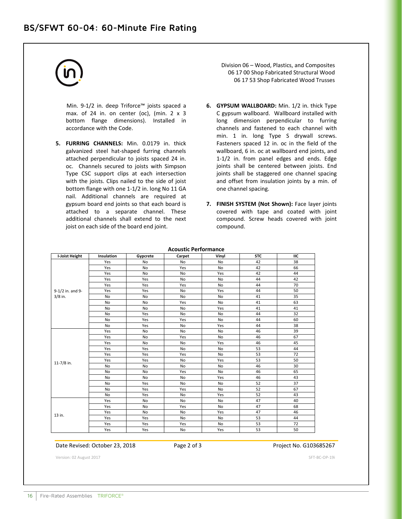Min. 9-1/2 in. deep Triforce™ joists spaced a max. of 24 in. on center (oc), (min.  $2 \times 3$ bottom flange dimensions). Installed in accordance with the Code.

**5. FURRING CHANNELS:** Min. 0.0179 in. thick galvanized steel hat-shaped furring channels attached perpendicular to joists spaced 24 in. oc. Channels secured to joists with Simpson Type CSC support clips at each intersection with the joists. Clips nailed to the side of joist bottom flange with one 1-1/2 in. long No 11 GA nail. Additional channels are required at gypsum board end joints so that each board is attached to a separate channel. These additional channels shall extend to the next joist on each side of the board end joint.

Division 06 – Wood, Plastics, and Composites 06 17 00 Shop Fabricated Structural Wood 06 17 53 Shop Fabricated Wood Trusses

- **6. GYPSUM WALLBOARD:** Min. 1/2 in. thick Type C gypsum wallboard. Wallboard installed with long dimension perpendicular to furring channels and fastened to each channel with min. 1 in. long Type S drywall screws. Fasteners spaced 12 in. oc in the field of the wallboard, 6 in. oc at wallboard end joints, and 1-1/2 in. from panel edges and ends. Edge joints shall be centered between joists. End joints shall be staggered one channel spacing and offset from insulation joints by a min. of one channel spacing.
- **7. FINISH SYSTEM (Not Shown):** Face layer joints covered with tape and coated with joint compound. Screw heads covered with joint compound.

| <b>Acoustic Performance</b> |            |           |           |           |            |     |  |
|-----------------------------|------------|-----------|-----------|-----------|------------|-----|--|
| I-Joist Height              | Insulation | Gypcrete  | Carpet    | Vinyl     | <b>STC</b> | IIC |  |
|                             | Yes        | No        | No        | No        | 42         | 38  |  |
|                             | Yes        | No        | Yes       | No        | 42         | 66  |  |
|                             | Yes        | No        | No        | Yes       | 42         | 44  |  |
|                             | Yes        | Yes       | <b>No</b> | No        | 44         | 42  |  |
|                             | Yes        | Yes       | Yes       | <b>No</b> | 44         | 70  |  |
| 9-1/2 in. and 9-            | Yes        | Yes       | No        | Yes       | 44         | 50  |  |
| $3/8$ in.                   | <b>No</b>  | <b>No</b> | <b>No</b> | <b>No</b> | 41         | 35  |  |
|                             | <b>No</b>  | <b>No</b> | Yes       | <b>No</b> | 41         | 63  |  |
|                             | No         | No        | No        | Yes       | 41         | 41  |  |
|                             | <b>No</b>  | Yes       | No        | No        | 44         | 32  |  |
|                             | <b>No</b>  | Yes       | Yes       | <b>No</b> | 44         | 60  |  |
|                             | <b>No</b>  | Yes       | No        | Yes       | 44         | 38  |  |
|                             | Yes        | No        | No        | No        | 46         | 39  |  |
|                             | Yes        | No        | Yes       | No        | 46         | 67  |  |
|                             | Yes        | No        | No        | Yes       | 46         | 45  |  |
|                             | Yes        | Yes       | <b>No</b> | <b>No</b> | 53         | 44  |  |
|                             | Yes        | Yes       | Yes       | <b>No</b> | 53         | 72  |  |
|                             | Yes        | Yes       | No        | Yes       | 53         | 50  |  |
| 11-7/8 in.                  | <b>No</b>  | No        | No        | No        | 46         | 30  |  |
|                             | <b>No</b>  | <b>No</b> | Yes       | <b>No</b> | 46         | 65  |  |
|                             | <b>No</b>  | No        | No        | Yes       | 46         | 43  |  |
|                             | <b>No</b>  | Yes       | No        | No        | 52         | 37  |  |
|                             | <b>No</b>  | Yes       | Yes       | <b>No</b> | 52         | 67  |  |
|                             | <b>No</b>  | Yes       | No        | Yes       | 52         | 43  |  |
|                             | Yes        | No        | <b>No</b> | No        | 47         | 40  |  |
|                             | Yes        | No        | Yes       | <b>No</b> | 47         | 68  |  |
|                             | Yes        | <b>No</b> | <b>No</b> | Yes       | 47         | 46  |  |
| 13 in.                      | Yes        | Yes       | No        | No        | 53         | 44  |  |
|                             | Yes        | Yes       | Yes       | <b>No</b> | 53         | 72  |  |
|                             | Yes        | Yes       | No        | Yes       | 53         | 50  |  |

**Acoustic Performance** 

## Date Revised: October 23, 2018 Page 2 of 3 Project No. G103685267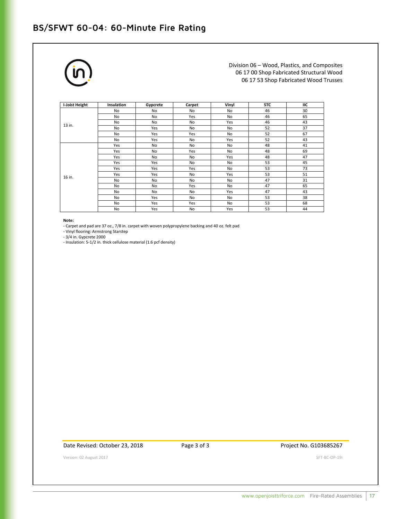## **BS/SFWT 60-04: 60-Minute Fire Rating**



Division 06 – Wood, Plastics, and Composites 06 17 00 Shop Fabricated Structural Wood 06 17 53 Shop Fabricated Wood Trusses

| I-Joist Height | <b>Insulation</b> | Gypcrete | Carpet | Vinyl     | <b>STC</b> | IIС |
|----------------|-------------------|----------|--------|-----------|------------|-----|
|                | No                | No       | No     | No        | 46         | 30  |
|                | No                | No       | Yes    | <b>No</b> | 46         | 65  |
|                | No                | No       | No     | Yes       | 46         | 43  |
| 13 in.         | No                | Yes      | No     | No        | 52         | 37  |
|                | No                | Yes      | Yes    | No        | 52         | 67  |
|                | No                | Yes      | No     | Yes       | 52         | 43  |
|                | Yes               | No       | No     | No        | 48         | 41  |
|                | Yes               | No       | Yes    | No        | 48         | 69  |
|                | Yes               | No       | No     | Yes       | 48         | 47  |
|                | Yes               | Yes      | No     | No        | 53         | 45  |
|                | Yes               | Yes      | Yes    | No        | 53         | 73  |
| 16 in.         | Yes               | Yes      | No     | Yes       | 53         | 51  |
|                | No                | No       | No     | No        | 47         | 31  |
|                | No                | No       | Yes    | No        | 47         | 65  |
|                | No                | No       | No     | Yes       | 47         | 43  |
|                | No                | Yes      | No     | No        | 53         | 38  |
|                | No                | Yes      | Yes    | No        | 53         | 68  |
|                | No                | Yes      | No     | Yes       | 53         | 44  |

**Note:**

- Carpet and pad are 37 oz., 7/8 in. carpet with woven polypropylene backing and 40 oz. felt pad

- Vinyl flooring: Armstrong Starstep

- 3/4 in. Gypcrete 2000

- Insulation: 5-1/2 in. thick cellulose material (1.6 pcf density)

Date Revised: October 23, 2018 Page 3 of 3 Project No. G103685267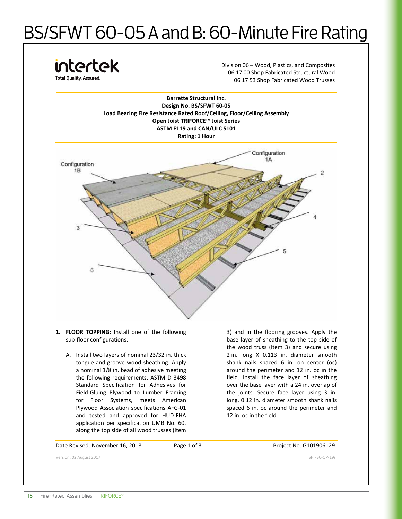# BS/SFWT 60-05 A and B: 60-Minute Fire Rating



- **1. FLOOR TOPPING:** Install one of the following sub-floor configurations:
	- A. Install two layers of nominal 23/32 in. thick tongue-and-groove wood sheathing. Apply a nominal 1/8 in. bead of adhesive meeting the following requirements: ASTM D 3498 Standard Specification for Adhesives for Field-Gluing Plywood to Lumber Framing for Floor Systems, meets American Plywood Association specifications AFG-01 and tested and approved for HUD-FHA application per specification UMB No. 60. along the top side of all wood trusses (Item

3) and in the flooring grooves. Apply the base layer of sheathing to the top side of the wood truss (Item 3) and secure using 2 in. long X 0.113 in. diameter smooth shank nails spaced 6 in. on center (oc) around the perimeter and 12 in. oc in the field. Install the face layer of sheathing over the base layer with a 24 in. overlap of the joints. Secure face layer using 3 in. long, 0.12 in. diameter smooth shank nails spaced 6 in. oc around the perimeter and 12 in. oc in the field.

Date Revised: November 16, 2018 Page 1 of 3 Project No. G101906129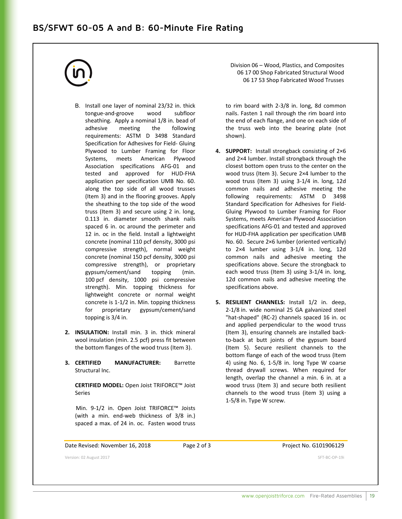## **BS/SFWT 60-05 A and B: 60-Minute Fire Rating**



- B. Install one layer of nominal 23/32 in. thick tongue-and-groove wood subfloor sheathing. Apply a nominal 1/8 in. bead of adhesive meeting the following requirements: ASTM D 3498 Standard Specification for Adhesives for Field- Gluing Plywood to Lumber Framing for Floor Systems, meets American Plywood Association specifications AFG-01 and tested and approved for HUD-FHA application per specification UMB No. 60. along the top side of all wood trusses (Item 3) and in the flooring grooves. Apply the sheathing to the top side of the wood truss (Item 3) and secure using 2 in. long, 0.113 in. diameter smooth shank nails spaced 6 in. oc around the perimeter and 12 in. oc in the field. Install a lightweight concrete (nominal 110 pcf density, 3000 psi compressive strength), normal weight concrete (nominal 150 pcf density, 3000 psi compressive strength), or proprietary gypsum/cement/sand topping (min. 100 pcf density, 1000 psi compressive strength). Min. topping thickness for lightweight concrete or normal weight concrete is 1-1/2 in. Min. topping thickness for proprietary gypsum/cement/sand topping is 3/4 in.
- **2. INSULATION:** Install min. 3 in. thick mineral wool insulation (min. 2.5 pcf) press fit between the bottom flanges of the wood truss (Item 3).
- **3. CERTIFIED MANUFACTURER:** Barrette Structural Inc.

**CERTIFIED MODEL:** Open Joist TRIFORCE™ Joist Series

Min. 9-1/2 in. Open Joist TRIFORCE™ Joists (with a min. end-web thickness of 3/8 in.) spaced a max. of 24 in. oc. Fasten wood truss Division 06 – Wood, Plastics, and Composites 06 17 00 Shop Fabricated Structural Wood 06 17 53 Shop Fabricated Wood Trusses

to rim board with 2-3/8 in. long, 8d common nails. Fasten 1 nail through the rim board into the end of each flange, and one on each side of the truss web into the bearing plate (not shown).

- **4. SUPPORT:** Install strongback consisting of 2×6 and 2×4 lumber. Install strongback through the closest bottom open truss to the center on the wood truss (Item 3). Secure 2×4 lumber to the wood truss (Item 3) using 3-1/4 in. long, 12d common nails and adhesive meeting the following requirements: ASTM D 3498 Standard Specification for Adhesives for Field-Gluing Plywood to Lumber Framing for Floor Systems, meets American Plywood Association specifications AFG-01 and tested and approved for HUD-FHA application per specification UMB No. 60. Secure 2×6 lumber (oriented vertically) to 2×4 lumber using 3-1/4 in. long, 12d common nails and adhesive meeting the specifications above. Secure the strongback to each wood truss (Item 3) using 3-1/4 in. long, 12d common nails and adhesive meeting the specifications above.
- **5. RESILIENT CHANNELS:** Install 1/2 in. deep, 2-1/8 in. wide nominal 25 GA galvanized steel "hat-shaped" (RC-2) channels spaced 16 in. oc and applied perpendicular to the wood truss (Item 3), ensuring channels are installed backto-back at butt joints of the gypsum board (Item 5). Secure resilient channels to the bottom flange of each of the wood truss (Item 4) using No. 6, 1-5/8 in. long Type W coarse thread drywall screws. When required for length, overlap the channel a min. 6 in. at a wood truss (Item 3) and secure both resilient channels to the wood truss (item 3) using a 1-5/8 in. Type W screw.

Date Revised: November 16, 2018 Page 2 of 3 Project No. G101906129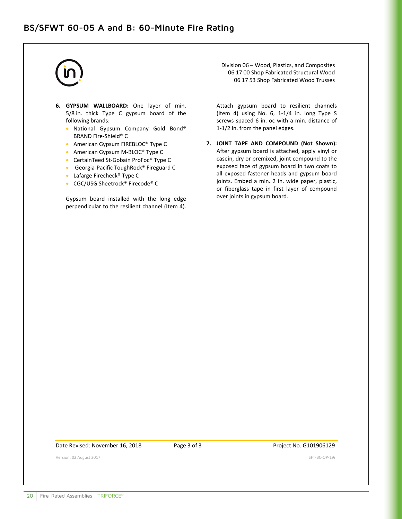- **6. GYPSUM WALLBOARD:** One layer of min. 5/8 in. thick Type C gypsum board of the following brands:
	- National Gypsum Company Gold Bond® BRAND Fire-Shield® C
	- American Gypsum FIREBLOC® Type C
	- American Gypsum M-BLOC<sup>®</sup> Type C
	- CertainTeed St-Gobain ProFoc® Type C
	- Georgia-Pacific ToughRock® Fireguard C
	- Lafarge Firecheck® Type C
	- CGC/USG Sheetrock® Firecode® C

Gypsum board installed with the long edge perpendicular to the resilient channel (Item 4). Division 06 – Wood, Plastics, and Composites 06 17 00 Shop Fabricated Structural Wood 06 17 53 Shop Fabricated Wood Trusses

Attach gypsum board to resilient channels (Item 4) using No. 6, 1-1/4 in. long Type S screws spaced 6 in. oc with a min. distance of 1-1/2 in. from the panel edges.

**7. JOINT TAPE AND COMPOUND (Not Shown):**  After gypsum board is attached, apply vinyl or casein, dry or premixed, joint compound to the exposed face of gypsum board in two coats to all exposed fastener heads and gypsum board joints. Embed a min. 2 in. wide paper, plastic, or fiberglass tape in first layer of compound over joints in gypsum board.

Date Revised: November 16, 2018 Page 3 of 3 Project No. G101906129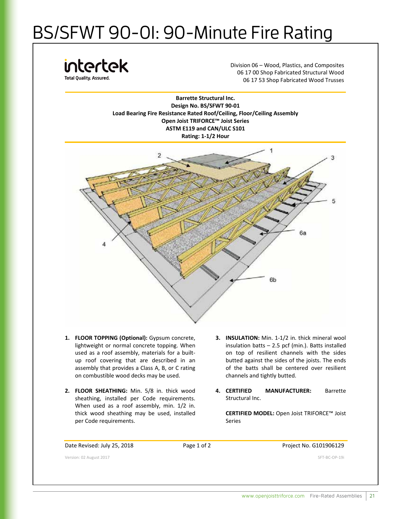# BS/SFWT 90-01: 90-Minute Fire Rating

intertek **Total Ouality, Assured.** 

Division 06 – Wood, Plastics, and Composites 06 17 00 Shop Fabricated Structural Wood 06 17 53 Shop Fabricated Wood Trusses

**Barrette Structural Inc. Design No. BS/SFWT 90-01 Load Bearing Fire Resistance Rated Roof/Ceiling, Floor/Ceiling Assembly Open Joist TRIFORCE™ Joist Series ASTM E119 and CAN/ULC S101 Rating: 1-1/2 Hour**



- **1. FLOOR TOPPING (Optional):** Gypsum concrete, lightweight or normal concrete topping. When used as a roof assembly, materials for a builtup roof covering that are described in an assembly that provides a Class A, B, or C rating on combustible wood decks may be used.
- **2. FLOOR SHEATHING:** Min. 5/8 in. thick wood sheathing, installed per Code requirements. When used as a roof assembly, min. 1/2 in. thick wood sheathing may be used, installed per Code requirements.
- **3. INSULATION:** Min. 1-1/2 in. thick mineral wool insulation batts – 2.5 pcf (min.). Batts installed on top of resilient channels with the sides butted against the sides of the joists. The ends of the batts shall be centered over resilient channels and tightly butted.
- **4. CERTIFIED MANUFACTURER:** Barrette Structural Inc.

**CERTIFIED MODEL:** Open Joist TRIFORCE™ Joist Series

## Date Revised: July 25, 2018 Page 1 of 2 Project No. G101906129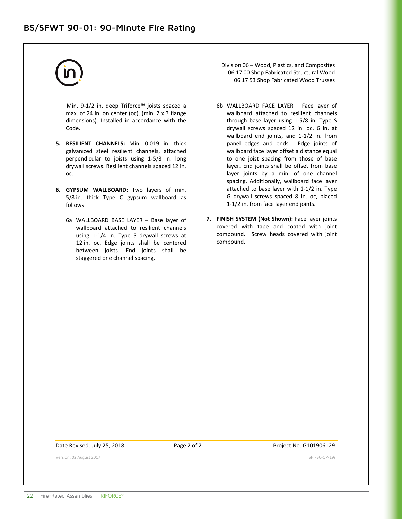Min. 9-1/2 in. deep Triforce™ joists spaced a max. of 24 in. on center (oc), (min. 2 x 3 flange dimensions). Installed in accordance with the Code.

- **5. RESILIENT CHANNELS:** Min. 0.019 in. thick galvanized steel resilient channels, attached perpendicular to joists using 1-5/8 in. long drywall screws. Resilient channels spaced 12 in. oc.
- **6. GYPSUM WALLBOARD:** Two layers of min. 5/8 in. thick Type C gypsum wallboard as follows:
	- 6a WALLBOARD BASE LAYER Base layer of wallboard attached to resilient channels using 1-1/4 in. Type S drywall screws at 12 in. oc. Edge joints shall be centered between joists. End joints shall be staggered one channel spacing.
- Division 06 Wood, Plastics, and Composites 06 17 00 Shop Fabricated Structural Wood 06 17 53 Shop Fabricated Wood Trusses
- 6b WALLBOARD FACE LAYER Face layer of wallboard attached to resilient channels through base layer using 1-5/8 in. Type S drywall screws spaced 12 in. oc, 6 in. at wallboard end joints, and 1-1/2 in. from panel edges and ends. Edge joints of wallboard face layer offset a distance equal to one joist spacing from those of base layer. End joints shall be offset from base layer joints by a min. of one channel spacing. Additionally, wallboard face layer attached to base layer with 1-1/2 in. Type G drywall screws spaced 8 in. oc, placed 1-1/2 in. from face layer end joints.
- **7. FINISH SYSTEM (Not Shown):** Face layer joints covered with tape and coated with joint compound. Screw heads covered with joint compound.

Date Revised: July 25, 2018 Page 2 of 2 Project No. G101906129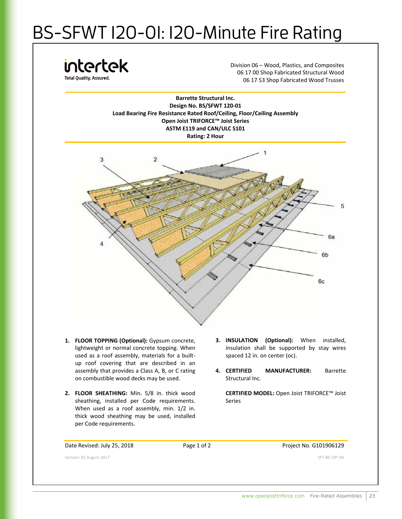# BS-SFWT 120-01: 120-Minute Fire Rating

intertek **Total Ouality, Assured.** 

Division 06 – Wood, Plastics, and Composites 06 17 00 Shop Fabricated Structural Wood 06 17 53 Shop Fabricated Wood Trusses





- **1. FLOOR TOPPING (Optional):** Gypsum concrete, lightweight or normal concrete topping. When used as a roof assembly, materials for a builtup roof covering that are described in an assembly that provides a Class A, B, or C rating on combustible wood decks may be used.
- **2. FLOOR SHEATHING:** Min. 5/8 in. thick wood sheathing, installed per Code requirements. When used as a roof assembly, min. 1/2 in. thick wood sheathing may be used, installed per Code requirements.
- **3. INSULATION (Optional):** When installed, insulation shall be supported by stay wires spaced 12 in. on center (oc).
- **4. CERTIFIED MANUFACTURER:** Barrette Structural Inc.

**CERTIFIED MODEL:** Open Joist TRIFORCE™ Joist Series

## Date Revised: July 25, 2018 **Page 1 of 2** Project No. G101906129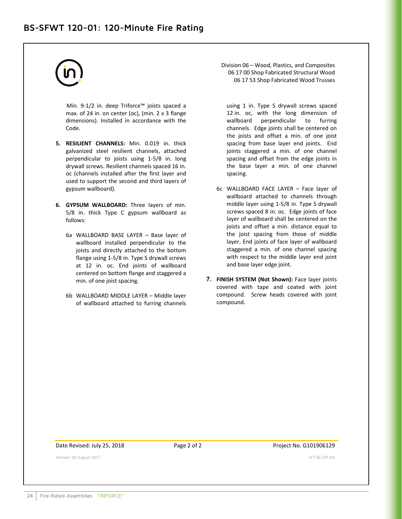Min. 9-1/2 in. deep Triforce™ joists spaced a max. of 24 in. on center (oc), (min. 2 x 3 flange dimensions). Installed in accordance with the Code.

- **5. RESILIENT CHANNELS:** Min. 0.019 in. thick galvanized steel resilient channels, attached perpendicular to joists using 1-5/8 in. long drywall screws. Resilient channels spaced 16 in. oc (channels installed after the first layer and used to support the second and third layers of gypsum wallboard).
- **6. GYPSUM WALLBOARD:** Three layers of min. 5/8 in. thick Type C gypsum wallboard as follows:
	- 6a WALLBOARD BASE LAYER Base layer of wallboard installed perpendicular to the joists and directly attached to the bottom flange using 1-5/8 in. Type S drywall screws at 12 in. oc. End joints of wallboard centered on bottom flange and staggered a min. of one joist spacing.
	- 6b WALLBOARD MIDDLE LAYER Middle layer of wallboard attached to furring channels

Division 06 – Wood, Plastics, and Composites 06 17 00 Shop Fabricated Structural Wood 06 17 53 Shop Fabricated Wood Trusses

using 1 in. Type S drywall screws spaced 12 in. oc, with the long dimension of wallboard perpendicular to furring channels. Edge joints shall be centered on the joists and offset a min. of one joist spacing from base layer end joints. End joints staggered a min. of one channel spacing and offset from the edge joints in the base layer a min. of one channel spacing.

- 6c WALLBOARD FACE LAYER Face layer of wallboard attached to channels through middle layer using 1-5/8 in. Type S drywall screws spaced 8 in. oc. Edge joints of face layer of wallboard shall be centered on the joists and offset a min. distance equal to the joist spacing from those of middle layer. End joints of face layer of wallboard staggered a min. of one channel spacing with respect to the middle layer end joint and base layer edge joint.
- **7. FINISH SYSTEM (Not Shown):** Face layer joints covered with tape and coated with joint compound. Screw heads covered with joint compound.

Date Revised: July 25, 2018 Page 2 of 2 Project No. G101906129